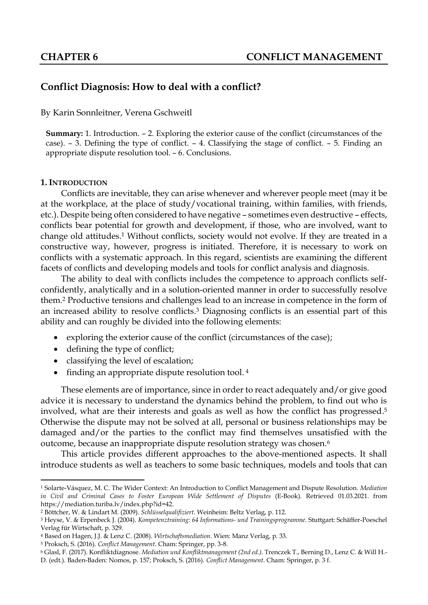# **Conflict Diagnosis: How to deal with a conflict?**

#### By Karin Sonnleitner, Verena Gschweitl

**Summary:** 1. Introduction. – 2. Exploring the exterior cause of the conflict (circumstances of the case). – 3. Defining the type of conflict. – 4. Classifying the stage of conflict. – 5. Finding an appropriate dispute resolution tool. – 6. Conclusions.

#### **1. INTRODUCTION**

**.** 

Conflicts are inevitable, they can arise whenever and wherever people meet (may it be at the workplace, at the place of study/vocational training, within families, with friends, etc.). Despite being often considered to have negative – sometimes even destructive – effects, conflicts bear potential for growth and development, if those, who are involved, want to change old attitudes. <sup>1</sup> Without conflicts, society would not evolve. If they are treated in a constructive way, however, progress is initiated. Therefore, it is necessary to work on conflicts with a systematic approach. In this regard, scientists are examining the different facets of conflicts and developing models and tools for conflict analysis and diagnosis.

The ability to deal with conflicts includes the competence to approach conflicts selfconfidently, analytically and in a solution-oriented manner in order to successfully resolve them.<sup>2</sup> Productive tensions and challenges lead to an increase in competence in the form of an increased ability to resolve conflicts. <sup>3</sup> Diagnosing conflicts is an essential part of this ability and can roughly be divided into the following elements:

- exploring the exterior cause of the conflict (circumstances of the case);
- defining the type of conflict;
- classifying the level of escalation;
- finding an appropriate dispute resolution tool.<sup>4</sup>

These elements are of importance, since in order to react adequately and/or give good advice it is necessary to understand the dynamics behind the problem, to find out who is involved, what are their interests and goals as well as how the conflict has progressed. 5 Otherwise the dispute may not be solved at all, personal or business relationships may be damaged and/or the parties to the conflict may find themselves unsatisfied with the outcome, because an inappropriate dispute resolution strategy was chosen.<sup>6</sup>

This article provides different approaches to the above-mentioned aspects. It shall introduce students as well as teachers to some basic techniques, models and tools that can

<sup>1</sup> Solarte-Vásquez, M. C. The Wider Context: An Introduction to Conflict Management and Dispute Resolution. *Mediation in Civil and Criminal Cases to Foster European Wide Settlement of Disputes* (E-Book). Retrieved 01.03.2021. from [https://mediation.turiba.lv/index.php?id=42.](https://mediation.turiba.lv/index.php?id=42) 

<sup>2</sup> Böttcher, W. & Lindart M. (2009). *Schlüsselqualifiziert*. Weinheim: Beltz Verlag, p. 112.

<sup>3</sup> Heyse, V. & Erpenbeck J. (2004). *Kompetenztraining: 64 Informations- und Trainingsprogramme*. Stuttgart: Schäffer-Poeschel Verlag für Wirtschaft, p. 329.

<sup>4</sup> Based on Hagen, J.J. & Lenz C. (2008). *Wirtschaftsmediation*. Wien: Manz Verlag, p. 33.

<sup>5</sup> Proksch, S. (2016). *Conflict Management*. Cham: Springer, pp. 3-8.

<sup>6</sup> Glasl, F. (2017). Konfliktdiagnose. *Mediation und Konfliktmanagement (2nd ed.)*. Trenczek T., Berning D., Lenz C. & Will H.- D. (edt.). Baden-Baden: Nomos, p. 157; Proksch, S. (2016). *Conflict Management*. Cham: Springer, p. 3 f.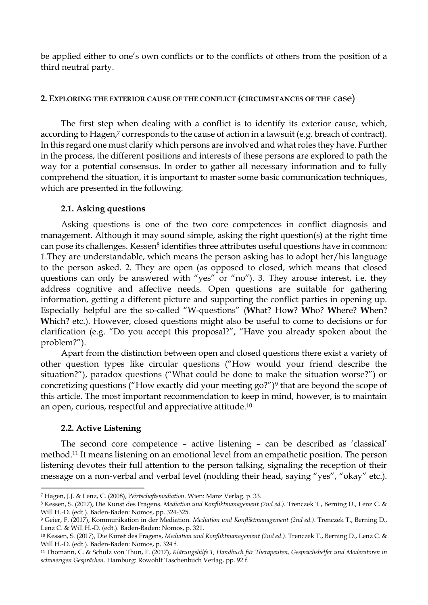be applied either to one's own conflicts or to the conflicts of others from the position of a third neutral party.

## **2. EXPLORING THE EXTERIOR CAUSE OF THE CONFLICT (CIRCUMSTANCES OF THE** case)

The first step when dealing with a conflict is to identify its exterior cause, which, according to Hagen, <sup>7</sup> corresponds to the cause of action in a lawsuit (e.g. breach of contract). In this regard one must clarify which persons are involved and what roles they have. Further in the process, the different positions and interests of these persons are explored to path the way for a potential consensus. In order to gather all necessary information and to fully comprehend the situation, it is important to master some basic communication techniques, which are presented in the following.

### **2.1. Asking questions**

Asking questions is one of the two core competences in conflict diagnosis and management. Although it may sound simple, asking the right question(s) at the right time can pose its challenges. Kessen<sup>8</sup> identifies three attributes useful questions have in common: 1.They are understandable, which means the person asking has to adopt her/his language to the person asked. 2. They are open (as opposed to closed, which means that closed questions can only be answered with "yes" or "no"). 3. They arouse interest, i.e. they address cognitive and affective needs. Open questions are suitable for gathering information, getting a different picture and supporting the conflict parties in opening up. Especially helpful are the so-called "W-questions" (**W**hat? Ho**w**? **W**ho? **W**here? **W**hen? **W**hich? etc.). However, closed questions might also be useful to come to decisions or for clarification (e.g. "Do you accept this proposal?", "Have you already spoken about the problem?").

Apart from the distinction between open and closed questions there exist a variety of other question types like circular questions ("How would your friend describe the situation?"), paradox questions ("What could be done to make the situation worse?") or concretizing questions ("How exactly did your meeting go?")<sup>9</sup> that are beyond the scope of this article. The most important recommendation to keep in mind, however, is to maintain an open, curious, respectful and appreciative attitude.<sup>10</sup>

## **2.2. Active Listening**

**.** 

The second core competence – active listening – can be described as 'classical' method. <sup>11</sup> It means listening on an emotional level from an empathetic position. The person listening devotes their full attention to the person talking, signaling the reception of their message on a non-verbal and verbal level (nodding their head, saying "yes", "okay" etc.).

<sup>7</sup> Hagen, J.J. & Lenz, C. (2008), *Wirtschaftsmediation*. Wien: Manz Verlag. p. 33.

<sup>8</sup> Kessen, S. (2017), Die Kunst des Fragens. *Mediation und Konfliktmanagement (2nd ed.).* Trenczek T., Berning D., Lenz C. & Will H.-D. (edt.). Baden-Baden: Nomos, pp. 324-325.

<sup>9</sup> Geier, F. (2017), Kommunikation in der Mediation. *Mediation und Konfliktmanagement (2nd ed.)*. Trenczek T., Berning D., Lenz C. & Will H.-D. (edt.). Baden-Baden: Nomos, p. 321.

<sup>10</sup> Kessen, S. (2017), Die Kunst des Fragens, *Mediation und Konfliktmanagement (2nd ed.)*. Trenczek T., Berning D., Lenz C. & Will H.-D. (edt.). Baden-Baden: Nomos, p. 324 f.

<sup>11</sup> Thomann, C. & Schulz von Thun, F. (2017), *Klärungshilfe 1, Handbuch für Therapeuten, Gesprächshelfer und Moderatoren in schwierigen Gesprächen*. Hamburg: Rowohlt Taschenbuch Verlag, pp. 92 f.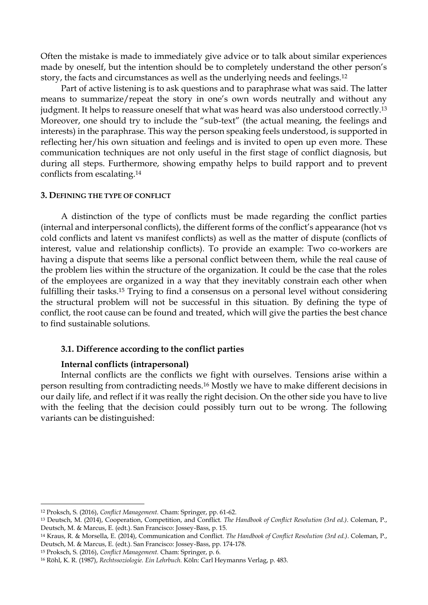Often the mistake is made to immediately give advice or to talk about similar experiences made by oneself, but the intention should be to completely understand the other person's story, the facts and circumstances as well as the underlying needs and feelings.<sup>12</sup>

Part of active listening is to ask questions and to paraphrase what was said. The latter means to summarize/repeat the story in one's own words neutrally and without any judgment. It helps to reassure oneself that what was heard was also understood correctly.<sup>13</sup> Moreover, one should try to include the "sub-text" (the actual meaning, the feelings and interests) in the paraphrase. This way the person speaking feels understood, is supported in reflecting her/his own situation and feelings and is invited to open up even more. These communication techniques are not only useful in the first stage of conflict diagnosis, but during all steps. Furthermore, showing empathy helps to build rapport and to prevent conflicts from escalating.<sup>14</sup>

#### **3. DEFINING THE TYPE OF CONFLICT**

A distinction of the type of conflicts must be made regarding the conflict parties (internal and interpersonal conflicts), the different forms of the conflict's appearance (hot vs cold conflicts and latent vs manifest conflicts) as well as the matter of dispute (conflicts of interest, value and relationship conflicts). To provide an example: Two co-workers are having a dispute that seems like a personal conflict between them, while the real cause of the problem lies within the structure of the organization. It could be the case that the roles of the employees are organized in a way that they inevitably constrain each other when fulfilling their tasks.<sup>15</sup> Trying to find a consensus on a personal level without considering the structural problem will not be successful in this situation. By defining the type of conflict, the root cause can be found and treated, which will give the parties the best chance to find sustainable solutions.

### **3.1. Difference according to the conflict parties**

#### **Internal conflicts (intrapersonal)**

Internal conflicts are the conflicts we fight with ourselves. Tensions arise within a person resulting from contradicting needs.<sup>16</sup> Mostly we have to make different decisions in our daily life, and reflect if it was really the right decision. On the other side you have to live with the feeling that the decision could possibly turn out to be wrong. The following variants can be distinguished:

1

<sup>15</sup> Proksch, S. (2016), *Conflict Management.* Cham: Springer, p. 6.

<sup>12</sup> Proksch, S. (2016), *Conflict Management.* Cham: Springer, pp. 61-62.

<sup>13</sup> Deutsch, M. (2014), Cooperation, Competition, and Conflict. *The Handbook of Conflict Resolution (3rd ed.)*. Coleman, P., Deutsch, M. & Marcus, E. (edt.). San Francisco: Jossey-Bass, p. 15.

<sup>14</sup> Kraus, R. & Morsella, E. (2014), Communication and Conflict. *The Handbook of Conflict Resolution (3rd ed.)*. Coleman, P., Deutsch, M. & Marcus, E. (edt.). San Francisco: Jossey-Bass, pp. 174-178.

<sup>16</sup> Röhl, K. R. (1987), *Rechtssoziologie. Ein Lehrbuch.* Köln: Carl Heymanns Verlag, p. 483.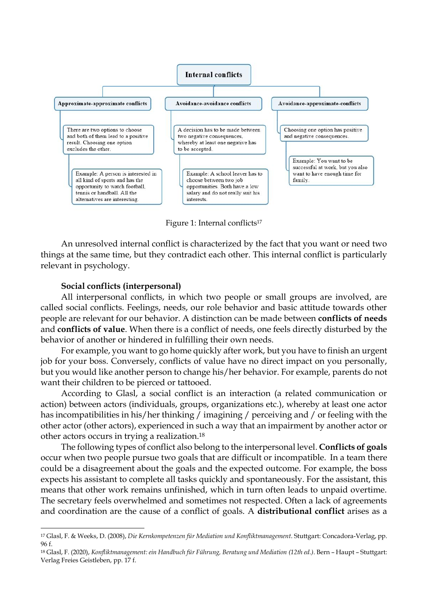

Figure 1: Internal conflicts<sup>17</sup>

An unresolved internal conflict is characterized by the fact that you want or need two things at the same time, but they contradict each other. This internal conflict is particularly relevant in psychology.

### **Social conflicts (interpersonal)**

**.** 

All interpersonal conflicts, in which two people or small groups are involved, are called social conflicts. Feelings, needs, our role behavior and basic attitude towards other people are relevant for our behavior. A distinction can be made between **conflicts of needs** and **conflicts of value**. When there is a conflict of needs, one feels directly disturbed by the behavior of another or hindered in fulfilling their own needs.

For example, you want to go home quickly after work, but you have to finish an urgent job for your boss. Conversely, conflicts of value have no direct impact on you personally, but you would like another person to change his/her behavior. For example, parents do not want their children to be pierced or tattooed.

According to Glasl, a social conflict is an interaction (a related communication or action) between actors (individuals, groups, organizations etc.), whereby at least one actor has incompatibilities in his/her thinking / imagining / perceiving and / or feeling with the other actor (other actors), experienced in such a way that an impairment by another actor or other actors occurs in trying a realization. 18

The following types of conflict also belong to the interpersonal level. **Conflicts of goals** occur when two people pursue two goals that are difficult or incompatible. In a team there could be a disagreement about the goals and the expected outcome. For example, the boss expects his assistant to complete all tasks quickly and spontaneously. For the assistant, this means that other work remains unfinished, which in turn often leads to unpaid overtime. The secretary feels overwhelmed and sometimes not respected. Often a lack of agreements and coordination are the cause of a conflict of goals. A **distributional conflict** arises as a

<sup>17</sup> Glasl, F. & Weeks, D. (2008), *Die Kernkompetenzen für Mediation und Konfliktmanagement*. Stuttgart: Concadora-Verlag, pp. 96 f.

<sup>18</sup> Glasl, F. (2020), *Konfliktmanagement: ein Handbuch für Führung, Beratung und Mediation (12th ed.)*. Bern – Haupt – Stuttgart: Verlag Freies Geistleben, pp. 17 f.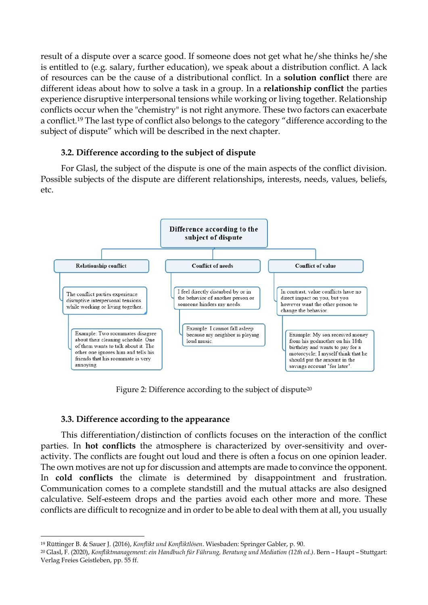result of a dispute over a scarce good. If someone does not get what he/she thinks he/she is entitled to (e.g. salary, further education), we speak about a distribution conflict. A lack of resources can be the cause of a distributional conflict. In a **solution conflict** there are different ideas about how to solve a task in a group. In a **relationship conflict** the parties experience disruptive interpersonal tensions while working or living together. Relationship conflicts occur when the "chemistry" is not right anymore. These two factors can exacerbate a conflict.<sup>19</sup> The last type of conflict also belongs to the category "difference according to the subject of dispute" which will be described in the next chapter.

# **3.2. Difference according to the subject of dispute**

For Glasl, the subject of the dispute is one of the main aspects of the conflict division. Possible subjects of the dispute are different relationships, interests, needs, values, beliefs, etc.



Figure 2: Difference according to the subject of dispute<sup>20</sup>

# **3.3. Difference according to the appearance**

**.** 

This differentiation/distinction of conflicts focuses on the interaction of the conflict parties. In **hot conflicts** the atmosphere is characterized by over-sensitivity and overactivity. The conflicts are fought out loud and there is often a focus on one opinion leader. The own motives are not up for discussion and attempts are made to convince the opponent. In **cold conflicts** the climate is determined by disappointment and frustration. Communication comes to a complete standstill and the mutual attacks are also designed calculative. Self-esteem drops and the parties avoid each other more and more. These conflicts are difficult to recognize and in order to be able to deal with them at all, you usually

<sup>19</sup> Rüttinger B. & Sauer J. (2016), *Konflikt und Konfliktlösen*. Wiesbaden: Springer Gabler, p. 90.

<sup>20</sup> Glasl, F. (2020), *Konfliktmanagement: ein Handbuch für Führung, Beratung und Mediation (12th ed.)*. Bern – Haupt – Stuttgart: Verlag Freies Geistleben, pp. 55 ff.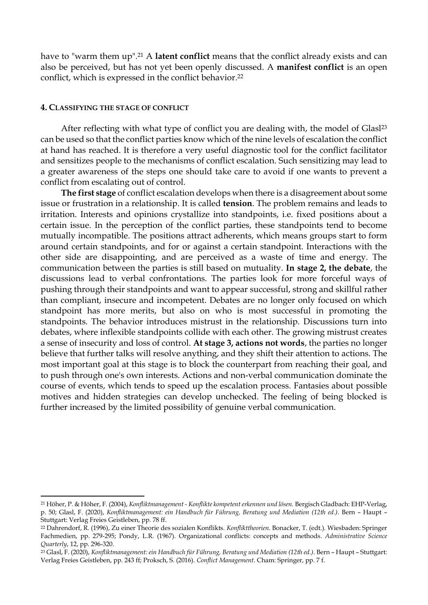have to "warm them up".<sup>21</sup> A **latent conflict** means that the conflict already exists and can also be perceived, but has not yet been openly discussed. A **manifest conflict** is an open conflict, which is expressed in the conflict behavior.<sup>22</sup>

#### **4. CLASSIFYING THE STAGE OF CONFLICT**

 $\overline{a}$ 

After reflecting with what type of conflict you are dealing with, the model of Glasl<sup>23</sup> can be used so that the conflict parties know which of the nine levels of escalation the conflict at hand has reached. It is therefore a very useful diagnostic tool for the conflict facilitator and sensitizes people to the mechanisms of conflict escalation. Such sensitizing may lead to a greater awareness of the steps one should take care to avoid if one wants to prevent a conflict from escalating out of control.

**The first stage** of conflict escalation develops when there is a disagreement about some issue or frustration in a relationship. It is called **tension**. The problem remains and leads to irritation. Interests and opinions crystallize into standpoints, i.e. fixed positions about a certain issue. In the perception of the conflict parties, these standpoints tend to become mutually incompatible. The positions attract adherents, which means groups start to form around certain standpoints, and for or against a certain standpoint. Interactions with the other side are disappointing, and are perceived as a waste of time and energy. The communication between the parties is still based on mutuality. **In stage 2, the debate**, the discussions lead to verbal confrontations. The parties look for more forceful ways of pushing through their standpoints and want to appear successful, strong and skillful rather than compliant, insecure and incompetent. Debates are no longer only focused on which standpoint has more merits, but also on who is most successful in promoting the standpoints. The behavior introduces mistrust in the relationship. Discussions turn into debates, where inflexible standpoints collide with each other. The growing mistrust creates a sense of insecurity and loss of control. **At stage 3, actions not words**, the parties no longer believe that further talks will resolve anything, and they shift their attention to actions. The most important goal at this stage is to block the counterpart from reaching their goal, and to push through one's own interests. Actions and non-verbal communication dominate the course of events, which tends to speed up the escalation process. Fantasies about possible motives and hidden strategies can develop unchecked. The feeling of being blocked is further increased by the limited possibility of genuine verbal communication.

<sup>21</sup> Höher, P. & Höher, F. (2004), *Konfliktmanagement - Konflikte kompetent erkennen und lösen.* Bergisch Gladbach: EHP-Verlag, p. 50; Glasl, F. (2020), *Konfliktmanagement: ein Handbuch für Führung, Beratung und Mediation (12th ed.)*. Bern – Haupt – Stuttgart: Verlag Freies Geistleben, pp. 78 ff.

<sup>22</sup> Dahrendorf, R. (1996), Zu einer Theorie des sozialen Konflikts. *Konflikttheorien*. Bonacker, T. (edt.). Wiesbaden: Springer Fachmedien, pp. 279-295; Pondy, L.R. (1967). Organizational conflicts: concepts and methods. *Administrative Science Quarterly*, 12, pp. 296-320.

<sup>23</sup> Glasl, F. (2020), *Konfliktmanagement: ein Handbuch für Führung, Beratung und Mediation (12th ed.)*. Bern – Haupt – Stuttgart: Verlag Freies Geistleben, pp. 243 ff; Proksch, S. (2016). *Conflict Management*. Cham: Springer, pp. 7 f.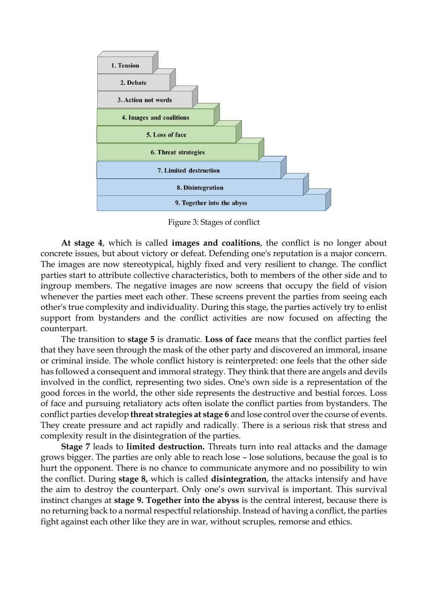

Figure 3: Stages of conflict

**At stage 4**, which is called **images and coalitions**, the conflict is no longer about concrete issues, but about victory or defeat. Defending one's reputation is a major concern. The images are now stereotypical, highly fixed and very resilient to change. The conflict parties start to attribute collective characteristics, both to members of the other side and to ingroup members. The negative images are now screens that occupy the field of vision whenever the parties meet each other. These screens prevent the parties from seeing each other's true complexity and individuality. During this stage, the parties actively try to enlist support from bystanders and the conflict activities are now focused on affecting the counterpart.

The transition to **stage 5** is dramatic. **Loss of face** means that the conflict parties feel that they have seen through the mask of the other party and discovered an immoral, insane or criminal inside. The whole conflict history is reinterpreted: one feels that the other side has followed a consequent and immoral strategy. They think that there are angels and devils involved in the conflict, representing two sides. One's own side is a representation of the good forces in the world, the other side represents the destructive and bestial forces. Loss of face and pursuing retaliatory acts often isolate the conflict parties from bystanders. The conflict parties develop **threat strategies at stage 6** and lose control over the course of events. They create pressure and act rapidly and radically. There is a serious risk that stress and complexity result in the disintegration of the parties.

**Stage 7** leads to **limited destruction.** Threats turn into real attacks and the damage grows bigger. The parties are only able to reach lose – lose solutions, because the goal is to hurt the opponent. There is no chance to communicate anymore and no possibility to win the conflict. During **stage 8,** which is called **disintegration**, the attacks intensify and have the aim to destroy the counterpart. Only one's own survival is important. This survival instinct changes at **stage 9. Together into the abyss** is the central interest, because there is no returning back to a normal respectful relationship. Instead of having a conflict, the parties fight against each other like they are in war, without scruples, remorse and ethics.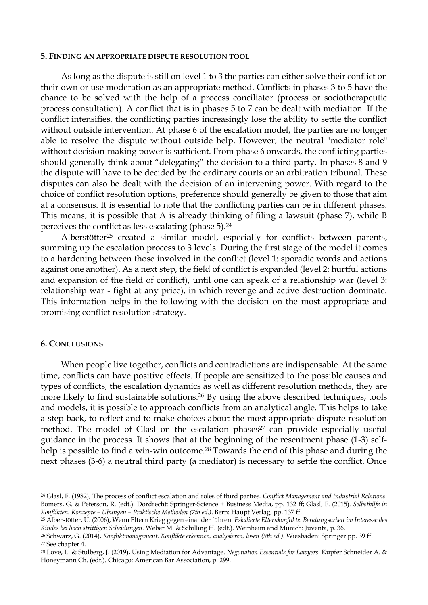#### **5. FINDING AN APPROPRIATE DISPUTE RESOLUTION TOOL**

As long as the dispute is still on level 1 to 3 the parties can either solve their conflict on their own or use moderation as an appropriate method. Conflicts in phases 3 to 5 have the chance to be solved with the help of a process conciliator (process or sociotherapeutic process consultation). A conflict that is in phases 5 to 7 can be dealt with mediation. If the conflict intensifies, the conflicting parties increasingly lose the ability to settle the conflict without outside intervention. At phase 6 of the escalation model, the parties are no longer able to resolve the dispute without outside help. However, the neutral "mediator role" without decision-making power is sufficient. From phase 6 onwards, the conflicting parties should generally think about "delegating" the decision to a third party. In phases 8 and 9 the dispute will have to be decided by the ordinary courts or an arbitration tribunal. These disputes can also be dealt with the decision of an intervening power. With regard to the choice of conflict resolution options, preference should generally be given to those that aim at a consensus. It is essential to note that the conflicting parties can be in different phases. This means, it is possible that A is already thinking of filing a lawsuit (phase 7), while B perceives the conflict as less escalating (phase 5).<sup>24</sup>

Alberstötter<sup>25</sup> created a similar model, especially for conflicts between parents, summing up the escalation process to 3 levels. During the first stage of the model it comes to a hardening between those involved in the conflict (level 1: sporadic words and actions against one another). As a next step, the field of conflict is expanded (level 2: hurtful actions and expansion of the field of conflict), until one can speak of a relationship war (level 3: relationship war - fight at any price), in which revenge and active destruction dominate. This information helps in the following with the decision on the most appropriate and promising conflict resolution strategy.

#### **6. CONCLUSIONS**

When people live together, conflicts and contradictions are indispensable. At the same time, conflicts can have positive effects. If people are sensitized to the possible causes and types of conflicts, the escalation dynamics as well as different resolution methods, they are more likely to find sustainable solutions.<sup>26</sup> By using the above described techniques, tools and models, it is possible to approach conflicts from an analytical angle. This helps to take a step back, to reflect and to make choices about the most appropriate dispute resolution method. The model of Glasl on the escalation phases<sup>27</sup> can provide especially useful guidance in the process. It shows that at the beginning of the resentment phase (1-3) selfhelp is possible to find a win-win outcome. <sup>28</sup> Towards the end of this phase and during the next phases (3-6) a neutral third party (a mediator) is necessary to settle the conflict. Once

**.** 

<sup>24</sup> Glasl, F. (1982), The process of conflict escalation and roles of third parties. *Conflict Management and Industrial Relations.* Bomers, G. & Peterson, R. (edt.). Dordrecht: Springer-Science + Business Media, pp. 132 ff; Glasl, F. (2015). *Selbsthilfe in Konflikten. Konzepte – Übungen – Praktische Methoden (7th ed.)*. Bern: Haupt Verlag, pp. 137 ff.

<sup>25</sup> Alberstötter, U. (2006), Wenn Eltern Krieg gegen einander führen. *Eskalierte Elternkonflikte. Beratungsarbeit im Interesse des Kindes bei hoch strittigen Scheidungen.* Weber M. & Schilling H. (edt.). Weinheim and Munich: Juventa, p. 36.

<sup>26</sup> Schwarz, G. (2014), *Konfliktmanagement. Konflikte erkennen, analysieren, lösen (9th ed.).* Wiesbaden: Springer pp. 39 ff.

<sup>27</sup> See chapter 4.

<sup>28</sup> Love, L. & Stulberg, J. (2019), Using Mediation for Advantage. *Negotiation Essentials for Lawyers*. Kupfer Schneider A. & Honeymann Ch. (edt.). Chicago: American Bar Association, p. 299.